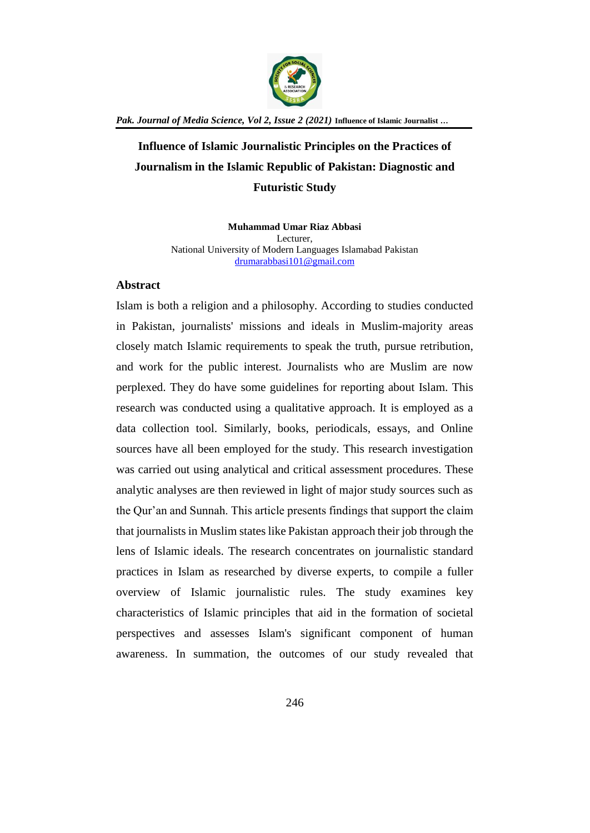

**Influence of Islamic Journalistic Principles on the Practices of Journalism in the Islamic Republic of Pakistan: Diagnostic and Futuristic Study**

> **Muhammad Umar Riaz Abbasi** Lecturer, National University of Modern Languages Islamabad Pakistan [drumarabbasi101@gmail.com](mailto:drumarabbasi101@gmail.com)

## **Abstract**

Islam is both a religion and a philosophy. According to studies conducted in Pakistan, journalists' missions and ideals in Muslim-majority areas closely match Islamic requirements to speak the truth, pursue retribution, and work for the public interest. Journalists who are Muslim are now perplexed. They do have some guidelines for reporting about Islam. This research was conducted using a qualitative approach. It is employed as a data collection tool. Similarly, books, periodicals, essays, and Online sources have all been employed for the study. This research investigation was carried out using analytical and critical assessment procedures. These analytic analyses are then reviewed in light of major study sources such as the Qur'an and Sunnah. This article presents findings that support the claim that journalists in Muslim states like Pakistan approach their job through the lens of Islamic ideals. The research concentrates on journalistic standard practices in Islam as researched by diverse experts, to compile a fuller overview of Islamic journalistic rules. The study examines key characteristics of Islamic principles that aid in the formation of societal perspectives and assesses Islam's significant component of human awareness. In summation, the outcomes of our study revealed that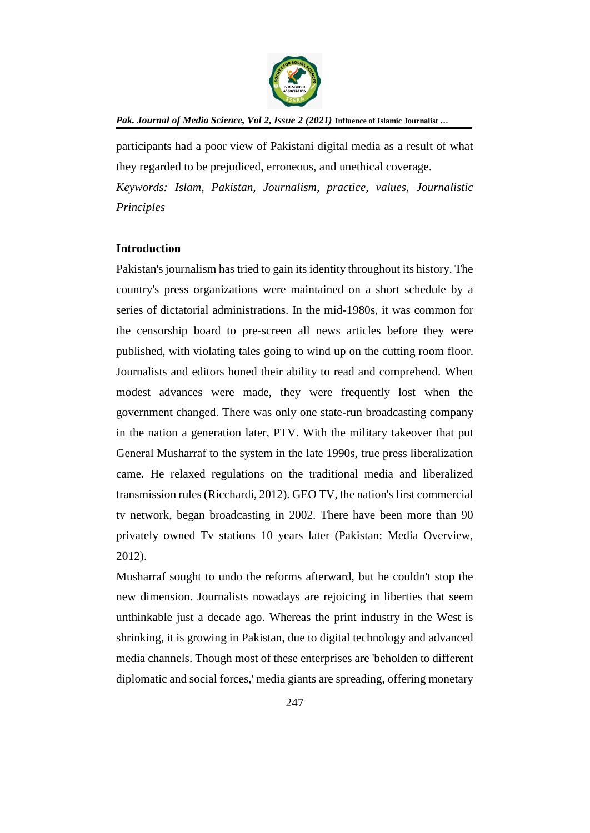

participants had a poor view of Pakistani digital media as a result of what they regarded to be prejudiced, erroneous, and unethical coverage. *Keywords: Islam, Pakistan, Journalism, practice, values, Journalistic Principles*

## **Introduction**

Pakistan's journalism has tried to gain its identity throughout its history. The country's press organizations were maintained on a short schedule by a series of dictatorial administrations. In the mid-1980s, it was common for the censorship board to pre-screen all news articles before they were published, with violating tales going to wind up on the cutting room floor. Journalists and editors honed their ability to read and comprehend. When modest advances were made, they were frequently lost when the government changed. There was only one state-run broadcasting company in the nation a generation later, PTV. With the military takeover that put General Musharraf to the system in the late 1990s, true press liberalization came. He relaxed regulations on the traditional media and liberalized transmission rules (Ricchardi, 2012). GEO TV, the nation's first commercial tv network, began broadcasting in 2002. There have been more than 90 privately owned Tv stations 10 years later (Pakistan: Media Overview, 2012).

Musharraf sought to undo the reforms afterward, but he couldn't stop the new dimension. Journalists nowadays are rejoicing in liberties that seem unthinkable just a decade ago. Whereas the print industry in the West is shrinking, it is growing in Pakistan, due to digital technology and advanced media channels. Though most of these enterprises are 'beholden to different diplomatic and social forces,' media giants are spreading, offering monetary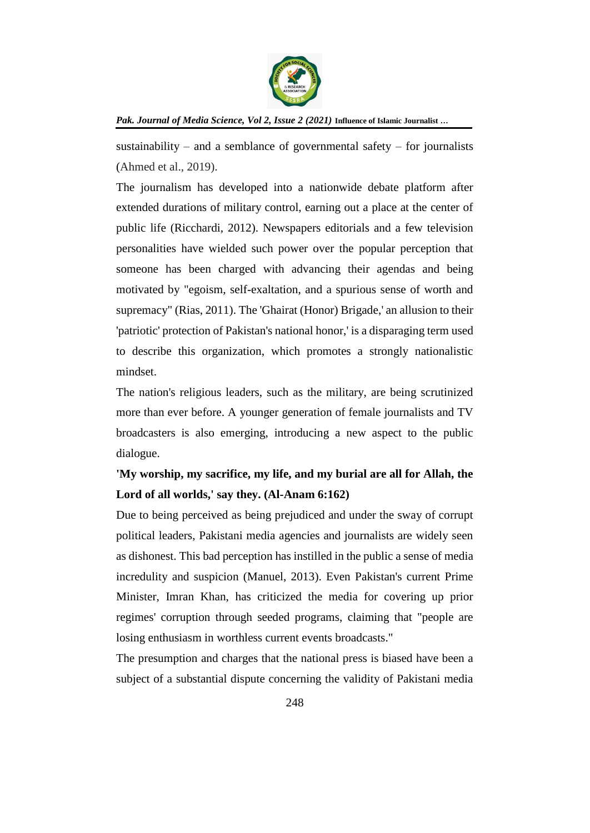

sustainability – and a semblance of governmental safety – for journalists (Ahmed et al., 2019).

The journalism has developed into a nationwide debate platform after extended durations of military control, earning out a place at the center of public life (Ricchardi, 2012). Newspapers editorials and a few television personalities have wielded such power over the popular perception that someone has been charged with advancing their agendas and being motivated by "egoism, self-exaltation, and a spurious sense of worth and supremacy" (Rias, 2011). The 'Ghairat (Honor) Brigade,' an allusion to their 'patriotic' protection of Pakistan's national honor,' is a disparaging term used to describe this organization, which promotes a strongly nationalistic mindset.

The nation's religious leaders, such as the military, are being scrutinized more than ever before. A younger generation of female journalists and TV broadcasters is also emerging, introducing a new aspect to the public dialogue.

# **'My worship, my sacrifice, my life, and my burial are all for Allah, the Lord of all worlds,' say they. (Al-Anam 6:162)**

Due to being perceived as being prejudiced and under the sway of corrupt political leaders, Pakistani media agencies and journalists are widely seen as dishonest. This bad perception has instilled in the public a sense of media incredulity and suspicion (Manuel, 2013). Even Pakistan's current Prime Minister, Imran Khan, has criticized the media for covering up prior regimes' corruption through seeded programs, claiming that "people are losing enthusiasm in worthless current events broadcasts."

The presumption and charges that the national press is biased have been a subject of a substantial dispute concerning the validity of Pakistani media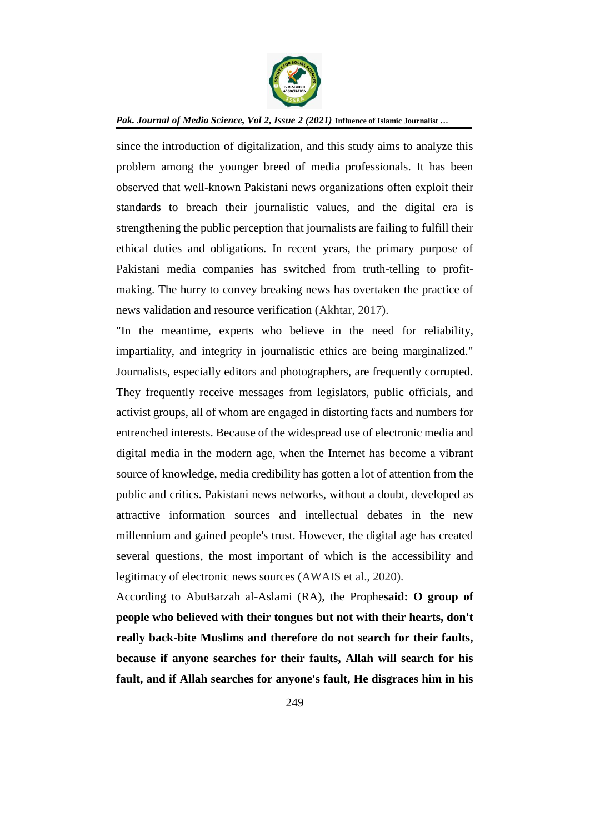

since the introduction of digitalization, and this study aims to analyze this problem among the younger breed of media professionals. It has been observed that well-known Pakistani news organizations often exploit their standards to breach their journalistic values, and the digital era is strengthening the public perception that journalists are failing to fulfill their ethical duties and obligations. In recent years, the primary purpose of Pakistani media companies has switched from truth-telling to profitmaking. The hurry to convey breaking news has overtaken the practice of news validation and resource verification (Akhtar, 2017).

"In the meantime, experts who believe in the need for reliability, impartiality, and integrity in journalistic ethics are being marginalized." Journalists, especially editors and photographers, are frequently corrupted. They frequently receive messages from legislators, public officials, and activist groups, all of whom are engaged in distorting facts and numbers for entrenched interests. Because of the widespread use of electronic media and digital media in the modern age, when the Internet has become a vibrant source of knowledge, media credibility has gotten a lot of attention from the public and critics. Pakistani news networks, without a doubt, developed as attractive information sources and intellectual debates in the new millennium and gained people's trust. However, the digital age has created several questions, the most important of which is the accessibility and legitimacy of electronic news sources (AWAIS et al., 2020).

According to AbuBarzah al-Aslami (RA), the Prophe**said: O group of people who believed with their tongues but not with their hearts, don't really back-bite Muslims and therefore do not search for their faults, because if anyone searches for their faults, Allah will search for his fault, and if Allah searches for anyone's fault, He disgraces him in his**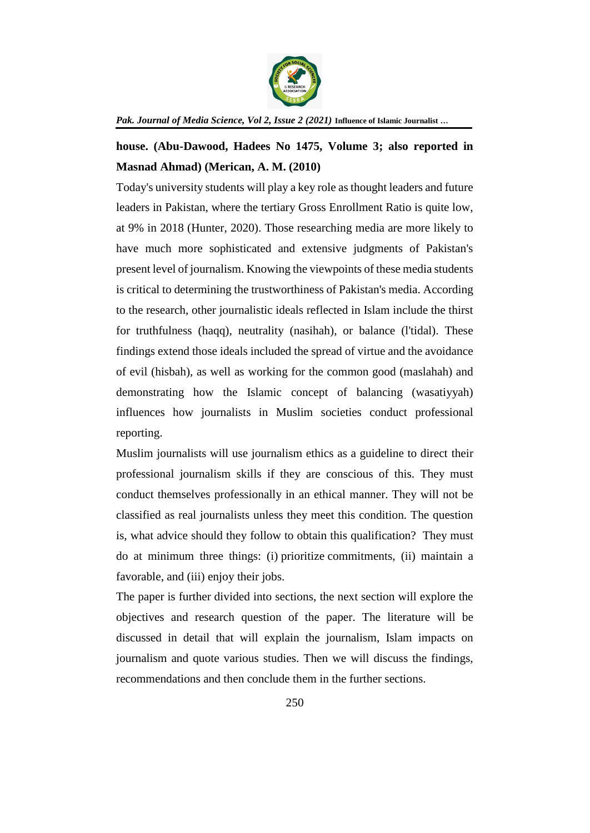

# **house. (Abu-Dawood, Hadees No 1475, Volume 3; also reported in Masnad Ahmad) (Merican, A. M. (2010)**

Today's university students will play a key role as thought leaders and future leaders in Pakistan, where the tertiary Gross Enrollment Ratio is quite low, at 9% in 2018 (Hunter, 2020). Those researching media are more likely to have much more sophisticated and extensive judgments of Pakistan's present level of journalism. Knowing the viewpoints of these media students is critical to determining the trustworthiness of Pakistan's media. According to the research, other journalistic ideals reflected in Islam include the thirst for truthfulness (haqq), neutrality (nasihah), or balance (l'tidal). These findings extend those ideals included the spread of virtue and the avoidance of evil (hisbah), as well as working for the common good (maslahah) and demonstrating how the Islamic concept of balancing (wasatiyyah) influences how journalists in Muslim societies conduct professional reporting.

Muslim journalists will use journalism ethics as a guideline to direct their professional journalism skills if they are conscious of this. They must conduct themselves professionally in an ethical manner. They will not be classified as real journalists unless they meet this condition. The question is, what advice should they follow to obtain this qualification? They must do at minimum three things: (i) prioritize commitments, (ii) maintain a favorable, and (iii) enjoy their jobs.

The paper is further divided into sections, the next section will explore the objectives and research question of the paper. The literature will be discussed in detail that will explain the journalism, Islam impacts on journalism and quote various studies. Then we will discuss the findings, recommendations and then conclude them in the further sections.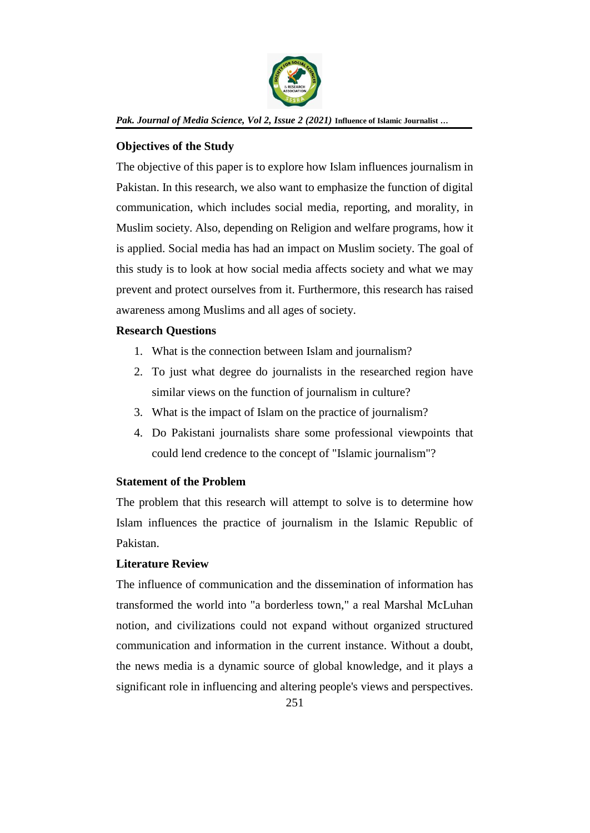

# **Objectives of the Study**

The objective of this paper is to explore how Islam influences journalism in Pakistan. In this research, we also want to emphasize the function of digital communication, which includes social media, reporting, and morality, in Muslim society. Also, depending on Religion and welfare programs, how it is applied. Social media has had an impact on Muslim society. The goal of this study is to look at how social media affects society and what we may prevent and protect ourselves from it. Furthermore, this research has raised awareness among Muslims and all ages of society.

# **Research Questions**

- 1. What is the connection between Islam and journalism?
- 2. To just what degree do journalists in the researched region have similar views on the function of journalism in culture?
- 3. What is the impact of Islam on the practice of journalism?
- 4. Do Pakistani journalists share some professional viewpoints that could lend credence to the concept of "Islamic journalism"?

# **Statement of the Problem**

The problem that this research will attempt to solve is to determine how Islam influences the practice of journalism in the Islamic Republic of Pakistan.

# **Literature Review**

The influence of communication and the dissemination of information has transformed the world into "a borderless town," a real Marshal McLuhan notion, and civilizations could not expand without organized structured communication and information in the current instance. Without a doubt, the news media is a dynamic source of global knowledge, and it plays a significant role in influencing and altering people's views and perspectives.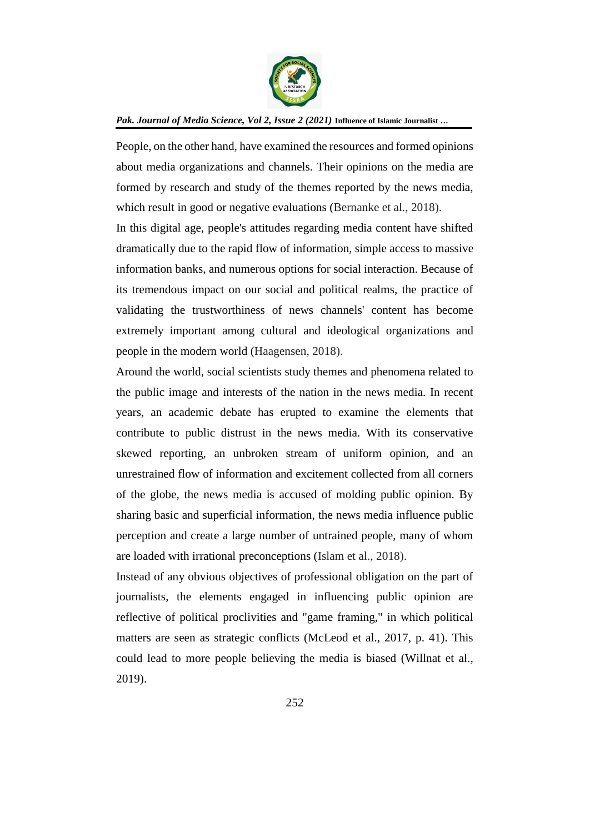

People, on the other hand, have examined the resources and formed opinions about media organizations and channels. Their opinions on the media are formed by research and study of the themes reported by the news media, which result in good or negative evaluations (Bernanke et al., 2018).

In this digital age, people's attitudes regarding media content have shifted dramatically due to the rapid flow of information, simple access to massive information banks, and numerous options for social interaction. Because of its tremendous impact on our social and political realms, the practice of validating the trustworthiness of news channels' content has become extremely important among cultural and ideological organizations and people in the modern world (Haagensen, 2018).

Around the world, social scientists study themes and phenomena related to the public image and interests of the nation in the news media. In recent years, an academic debate has erupted to examine the elements that contribute to public distrust in the news media. With its conservative skewed reporting, an unbroken stream of uniform opinion, and an unrestrained flow of information and excitement collected from all corners of the globe, the news media is accused of molding public opinion. By sharing basic and superficial information, the news media influence public perception and create a large number of untrained people, many of whom are loaded with irrational preconceptions (Islam et al., 2018).

Instead of any obvious objectives of professional obligation on the part of journalists, the elements engaged in influencing public opinion are reflective of political proclivities and "game framing," in which political matters are seen as strategic conflicts (McLeod et al., 2017, p. 41). This could lead to more people believing the media is biased (Willnat et al., 2019).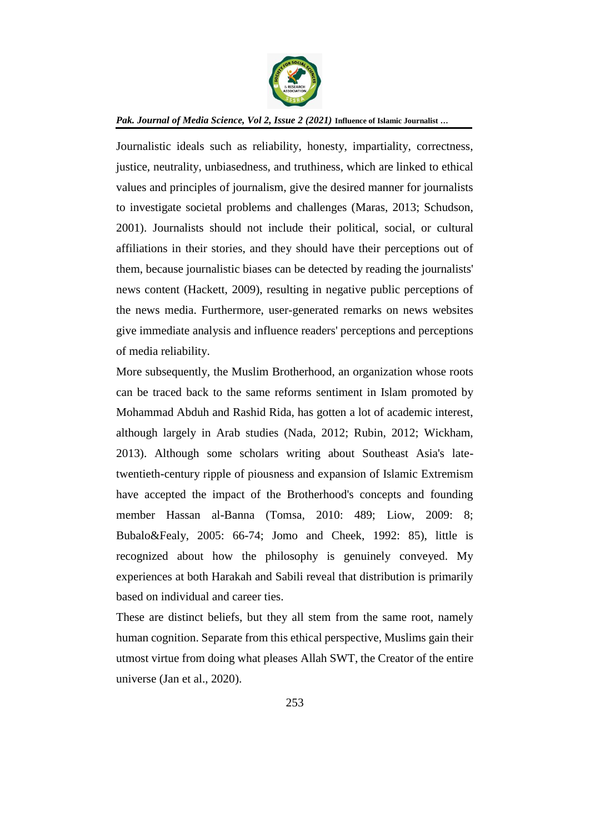

Journalistic ideals such as reliability, honesty, impartiality, correctness, justice, neutrality, unbiasedness, and truthiness, which are linked to ethical values and principles of journalism, give the desired manner for journalists to investigate societal problems and challenges (Maras, 2013; Schudson, 2001). Journalists should not include their political, social, or cultural affiliations in their stories, and they should have their perceptions out of them, because journalistic biases can be detected by reading the journalists' news content (Hackett, 2009), resulting in negative public perceptions of the news media. Furthermore, user-generated remarks on news websites give immediate analysis and influence readers' perceptions and perceptions of media reliability.

More subsequently, the Muslim Brotherhood, an organization whose roots can be traced back to the same reforms sentiment in Islam promoted by Mohammad Abduh and Rashid Rida, has gotten a lot of academic interest, although largely in Arab studies (Nada, 2012; Rubin, 2012; Wickham, 2013). Although some scholars writing about Southeast Asia's latetwentieth-century ripple of piousness and expansion of Islamic Extremism have accepted the impact of the Brotherhood's concepts and founding member Hassan al-Banna (Tomsa, 2010: 489; Liow, 2009: 8; Bubalo&Fealy, 2005: 66-74; Jomo and Cheek, 1992: 85), little is recognized about how the philosophy is genuinely conveyed. My experiences at both Harakah and Sabili reveal that distribution is primarily based on individual and career ties.

These are distinct beliefs, but they all stem from the same root, namely human cognition. Separate from this ethical perspective, Muslims gain their utmost virtue from doing what pleases Allah SWT, the Creator of the entire universe (Jan et al., 2020).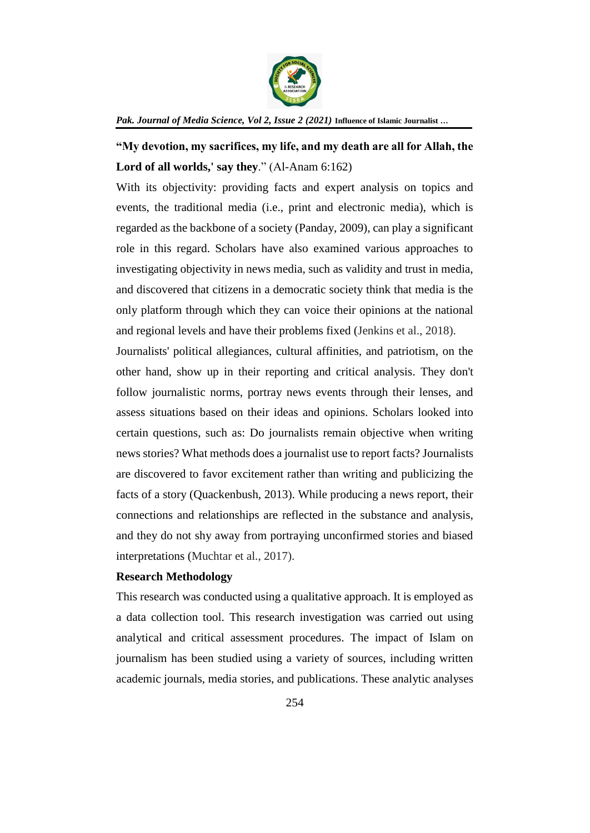

**"My devotion, my sacrifices, my life, and my death are all for Allah, the Lord of all worlds,' say they**." (Al-Anam 6:162)

With its objectivity: providing facts and expert analysis on topics and events, the traditional media (i.e., print and electronic media), which is regarded as the backbone of a society (Panday, 2009), can play a significant role in this regard. Scholars have also examined various approaches to investigating objectivity in news media, such as validity and trust in media, and discovered that citizens in a democratic society think that media is the only platform through which they can voice their opinions at the national and regional levels and have their problems fixed (Jenkins et al., 2018).

Journalists' political allegiances, cultural affinities, and patriotism, on the other hand, show up in their reporting and critical analysis. They don't follow journalistic norms, portray news events through their lenses, and assess situations based on their ideas and opinions. Scholars looked into certain questions, such as: Do journalists remain objective when writing news stories? What methods does a journalist use to report facts? Journalists are discovered to favor excitement rather than writing and publicizing the facts of a story (Quackenbush, 2013). While producing a news report, their connections and relationships are reflected in the substance and analysis, and they do not shy away from portraying unconfirmed stories and biased interpretations (Muchtar et al., 2017).

## **Research Methodology**

This research was conducted using a qualitative approach. It is employed as a data collection tool. This research investigation was carried out using analytical and critical assessment procedures. The impact of Islam on journalism has been studied using a variety of sources, including written academic journals, media stories, and publications. These analytic analyses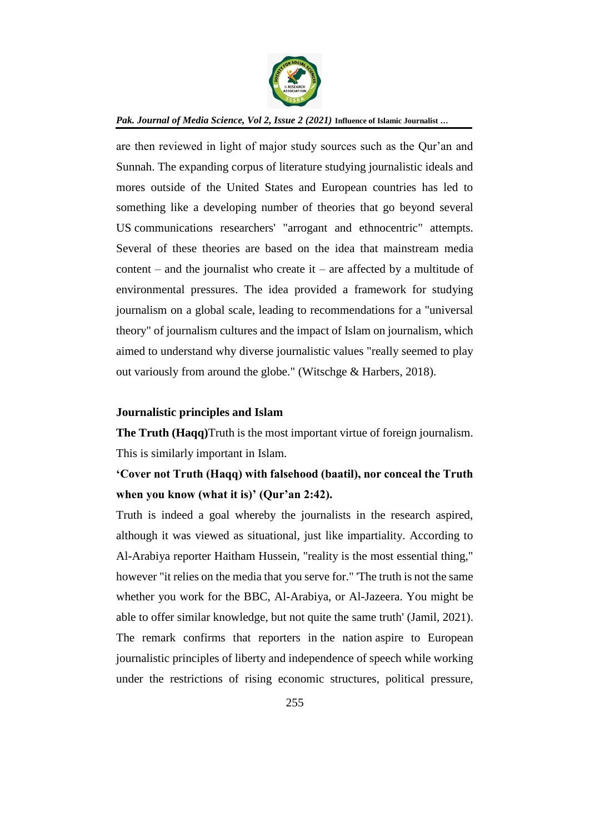

are then reviewed in light of major study sources such as the Qur'an and Sunnah. The expanding corpus of literature studying journalistic ideals and mores outside of the United States and European countries has led to something like a developing number of theories that go beyond several US communications researchers' "arrogant and ethnocentric" attempts. Several of these theories are based on the idea that mainstream media content – and the journalist who create it – are affected by a multitude of environmental pressures. The idea provided a framework for studying journalism on a global scale, leading to recommendations for a "universal theory" of journalism cultures and the impact of Islam on journalism, which aimed to understand why diverse journalistic values "really seemed to play out variously from around the globe." (Witschge & Harbers, 2018).

## **Journalistic principles and Islam**

**The Truth (Haqq)**Truth is the most important virtue of foreign journalism. This is similarly important in Islam.

# **'Cover not Truth (Haqq) with falsehood (baatil), nor conceal the Truth when you know (what it is)' (Qur'an 2:42).**

Truth is indeed a goal whereby the journalists in the research aspired, although it was viewed as situational, just like impartiality. According to Al-Arabiya reporter Haitham Hussein, "reality is the most essential thing," however "it relies on the media that you serve for." 'The truth is not the same whether you work for the BBC, Al-Arabiya, or Al-Jazeera. You might be able to offer similar knowledge, but not quite the same truth' (Jamil, 2021). The remark confirms that reporters in the nation aspire to European journalistic principles of liberty and independence of speech while working under the restrictions of rising economic structures, political pressure,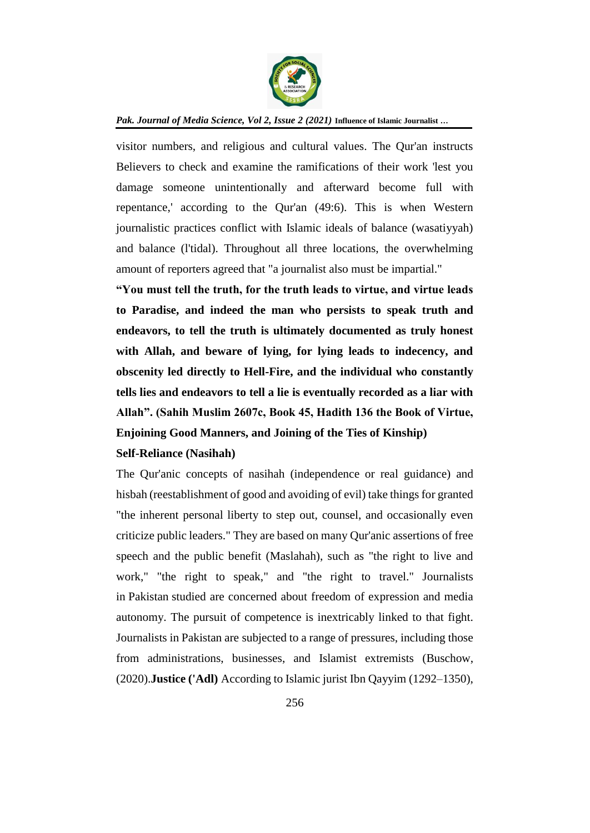

visitor numbers, and religious and cultural values. The Qur'an instructs Believers to check and examine the ramifications of their work 'lest you damage someone unintentionally and afterward become full with repentance,' according to the Qur'an (49:6). This is when Western journalistic practices conflict with Islamic ideals of balance (wasatiyyah) and balance (l'tidal). Throughout all three locations, the overwhelming amount of reporters agreed that "a journalist also must be impartial."

**"You must tell the truth, for the truth leads to virtue, and virtue leads to Paradise, and indeed the man who persists to speak truth and endeavors, to tell the truth is ultimately documented as truly honest with Allah, and beware of lying, for lying leads to indecency, and obscenity led directly to Hell-Fire, and the individual who constantly tells lies and endeavors to tell a lie is eventually recorded as a liar with Allah". (Sahih Muslim 2607c, Book 45, Hadith 136 the Book of Virtue, Enjoining Good Manners, and Joining of the Ties of Kinship)**

## **Self-Reliance (Nasihah)**

The Qur'anic concepts of nasihah (independence or real guidance) and hisbah (reestablishment of good and avoiding of evil) take things for granted "the inherent personal liberty to step out, counsel, and occasionally even criticize public leaders." They are based on many Qur'anic assertions of free speech and the public benefit (Maslahah), such as "the right to live and work," "the right to speak," and "the right to travel." Journalists in Pakistan studied are concerned about freedom of expression and media autonomy. The pursuit of competence is inextricably linked to that fight. Journalists in Pakistan are subjected to a range of pressures, including those from administrations, businesses, and Islamist extremists (Buschow, (2020).**Justice ('Adl)** According to Islamic jurist Ibn Qayyim (1292–1350),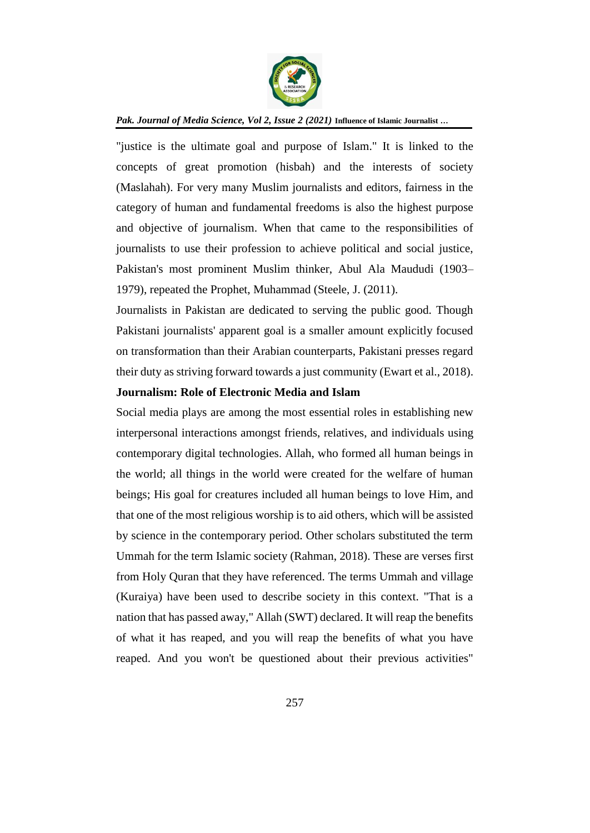

"justice is the ultimate goal and purpose of Islam." It is linked to the concepts of great promotion (hisbah) and the interests of society (Maslahah). For very many Muslim journalists and editors, fairness in the category of human and fundamental freedoms is also the highest purpose and objective of journalism. When that came to the responsibilities of journalists to use their profession to achieve political and social justice, Pakistan's most prominent Muslim thinker, Abul Ala Maududi (1903– 1979), repeated the Prophet, Muhammad (Steele, J. (2011).

Journalists in Pakistan are dedicated to serving the public good. Though Pakistani journalists' apparent goal is a smaller amount explicitly focused on transformation than their Arabian counterparts, Pakistani presses regard their duty as striving forward towards a just community (Ewart et al., 2018).

## **Journalism: Role of Electronic Media and Islam**

Social media plays are among the most essential roles in establishing new interpersonal interactions amongst friends, relatives, and individuals using contemporary digital technologies. Allah, who formed all human beings in the world; all things in the world were created for the welfare of human beings; His goal for creatures included all human beings to love Him, and that one of the most religious worship is to aid others, which will be assisted by science in the contemporary period. Other scholars substituted the term Ummah for the term Islamic society (Rahman, 2018). These are verses first from Holy Quran that they have referenced. The terms Ummah and village (Kuraiya) have been used to describe society in this context. "That is a nation that has passed away," Allah (SWT) declared. It will reap the benefits of what it has reaped, and you will reap the benefits of what you have reaped. And you won't be questioned about their previous activities"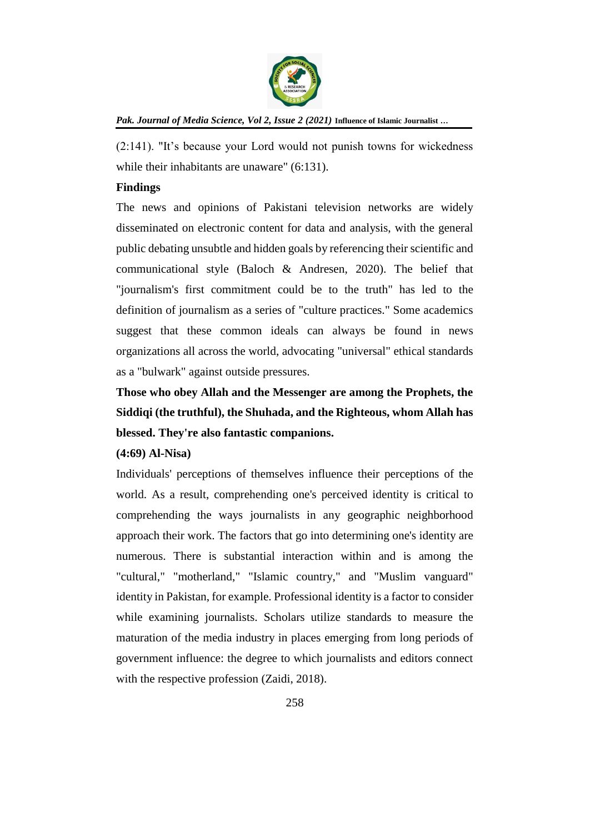

(2:141). "It's because your Lord would not punish towns for wickedness while their inhabitants are unaware" (6:131).

## **Findings**

The news and opinions of Pakistani television networks are widely disseminated on electronic content for data and analysis, with the general public debating unsubtle and hidden goals by referencing their scientific and communicational style (Baloch & Andresen, 2020). The belief that "journalism's first commitment could be to the truth" has led to the definition of journalism as a series of "culture practices." Some academics suggest that these common ideals can always be found in news organizations all across the world, advocating "universal" ethical standards as a "bulwark" against outside pressures.

**Those who obey Allah and the Messenger are among the Prophets, the Siddiqi (the truthful), the Shuhada, and the Righteous, whom Allah has blessed. They're also fantastic companions.** 

## **(4:69) Al-Nisa)**

Individuals' perceptions of themselves influence their perceptions of the world. As a result, comprehending one's perceived identity is critical to comprehending the ways journalists in any geographic neighborhood approach their work. The factors that go into determining one's identity are numerous. There is substantial interaction within and is among the "cultural," "motherland," "Islamic country," and "Muslim vanguard" identity in Pakistan, for example. Professional identity is a factor to consider while examining journalists. Scholars utilize standards to measure the maturation of the media industry in places emerging from long periods of government influence: the degree to which journalists and editors connect with the respective profession (Zaidi, 2018).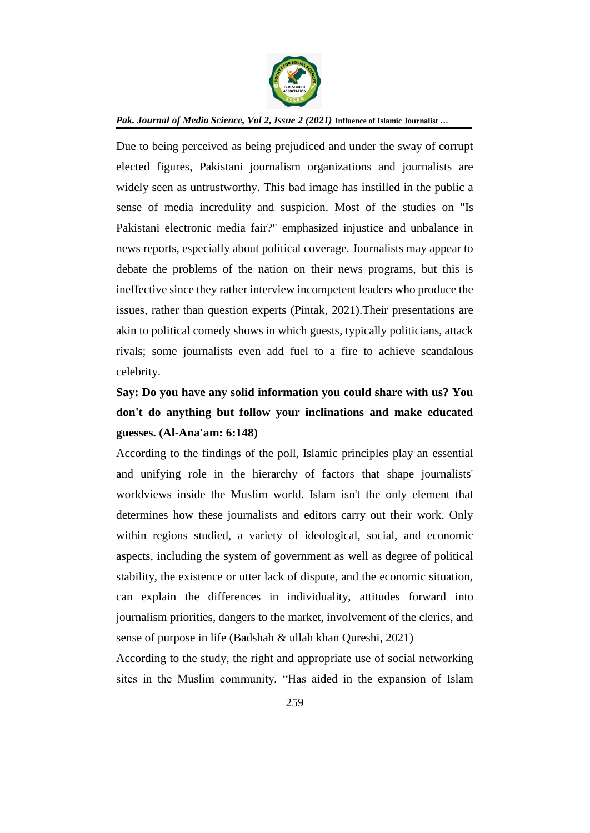

Due to being perceived as being prejudiced and under the sway of corrupt elected figures, Pakistani journalism organizations and journalists are widely seen as untrustworthy. This bad image has instilled in the public a sense of media incredulity and suspicion. Most of the studies on "Is Pakistani electronic media fair?" emphasized injustice and unbalance in news reports, especially about political coverage. Journalists may appear to debate the problems of the nation on their news programs, but this is ineffective since they rather interview incompetent leaders who produce the issues, rather than question experts (Pintak, 2021).Their presentations are akin to political comedy shows in which guests, typically politicians, attack rivals; some journalists even add fuel to a fire to achieve scandalous celebrity.

# **Say: Do you have any solid information you could share with us? You don't do anything but follow your inclinations and make educated guesses. (Al-Ana'am: 6:148)**

According to the findings of the poll, Islamic principles play an essential and unifying role in the hierarchy of factors that shape journalists' worldviews inside the Muslim world. Islam isn't the only element that determines how these journalists and editors carry out their work. Only within regions studied, a variety of ideological, social, and economic aspects, including the system of government as well as degree of political stability, the existence or utter lack of dispute, and the economic situation, can explain the differences in individuality, attitudes forward into journalism priorities, dangers to the market, involvement of the clerics, and sense of purpose in life (Badshah & ullah khan Qureshi, 2021)

According to the study, the right and appropriate use of social networking sites in the Muslim community. "Has aided in the expansion of Islam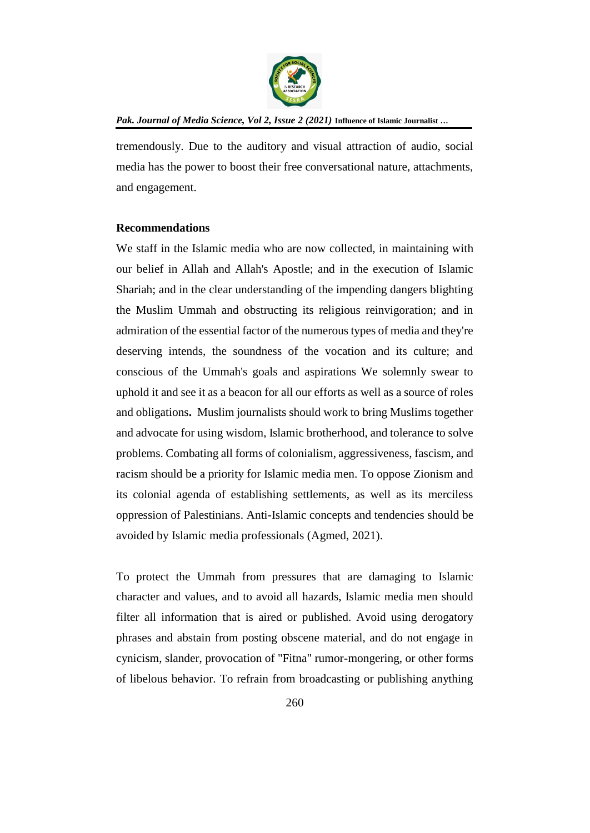

tremendously. Due to the auditory and visual attraction of audio, social media has the power to boost their free conversational nature, attachments, and engagement.

## **Recommendations**

We staff in the Islamic media who are now collected, in maintaining with our belief in Allah and Allah's Apostle; and in the execution of Islamic Shariah; and in the clear understanding of the impending dangers blighting the Muslim Ummah and obstructing its religious reinvigoration; and in admiration of the essential factor of the numerous types of media and they're deserving intends, the soundness of the vocation and its culture; and conscious of the Ummah's goals and aspirations We solemnly swear to uphold it and see it as a beacon for all our efforts as well as a source of roles and obligations**.** Muslim journalists should work to bring Muslims together and advocate for using wisdom, Islamic brotherhood, and tolerance to solve problems. Combating all forms of colonialism, aggressiveness, fascism, and racism should be a priority for Islamic media men. To oppose Zionism and its colonial agenda of establishing settlements, as well as its merciless oppression of Palestinians. Anti-Islamic concepts and tendencies should be avoided by Islamic media professionals (Agmed, 2021).

To protect the Ummah from pressures that are damaging to Islamic character and values, and to avoid all hazards, Islamic media men should filter all information that is aired or published. Avoid using derogatory phrases and abstain from posting obscene material, and do not engage in cynicism, slander, provocation of "Fitna" rumor-mongering, or other forms of libelous behavior. To refrain from broadcasting or publishing anything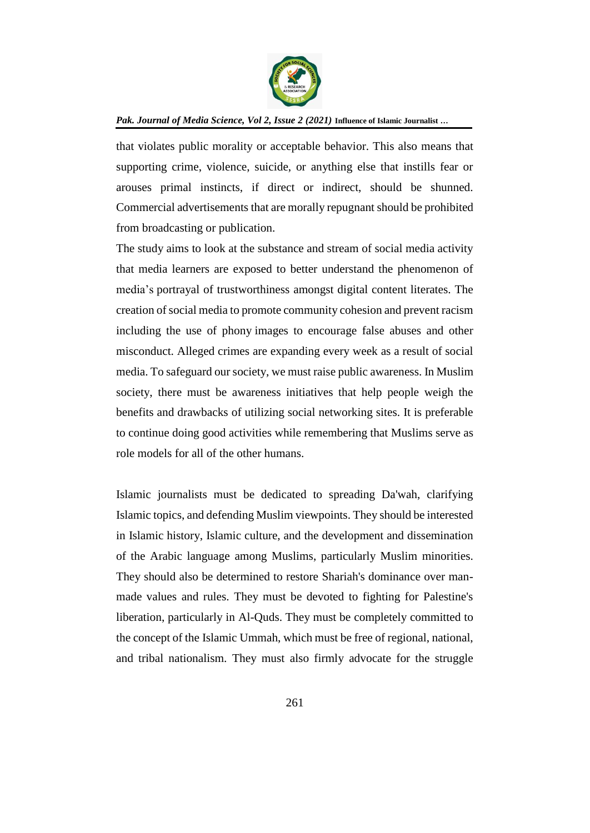

that violates public morality or acceptable behavior. This also means that supporting crime, violence, suicide, or anything else that instills fear or arouses primal instincts, if direct or indirect, should be shunned. Commercial advertisements that are morally repugnant should be prohibited from broadcasting or publication.

The study aims to look at the substance and stream of social media activity that media learners are exposed to better understand the phenomenon of media's portrayal of trustworthiness amongst digital content literates. The creation of social media to promote community cohesion and prevent racism including the use of phony images to encourage false abuses and other misconduct. Alleged crimes are expanding every week as a result of social media. To safeguard our society, we must raise public awareness. In Muslim society, there must be awareness initiatives that help people weigh the benefits and drawbacks of utilizing social networking sites. It is preferable to continue doing good activities while remembering that Muslims serve as role models for all of the other humans.

Islamic journalists must be dedicated to spreading Da'wah, clarifying Islamic topics, and defending Muslim viewpoints. They should be interested in Islamic history, Islamic culture, and the development and dissemination of the Arabic language among Muslims, particularly Muslim minorities. They should also be determined to restore Shariah's dominance over manmade values and rules. They must be devoted to fighting for Palestine's liberation, particularly in Al-Quds. They must be completely committed to the concept of the Islamic Ummah, which must be free of regional, national, and tribal nationalism. They must also firmly advocate for the struggle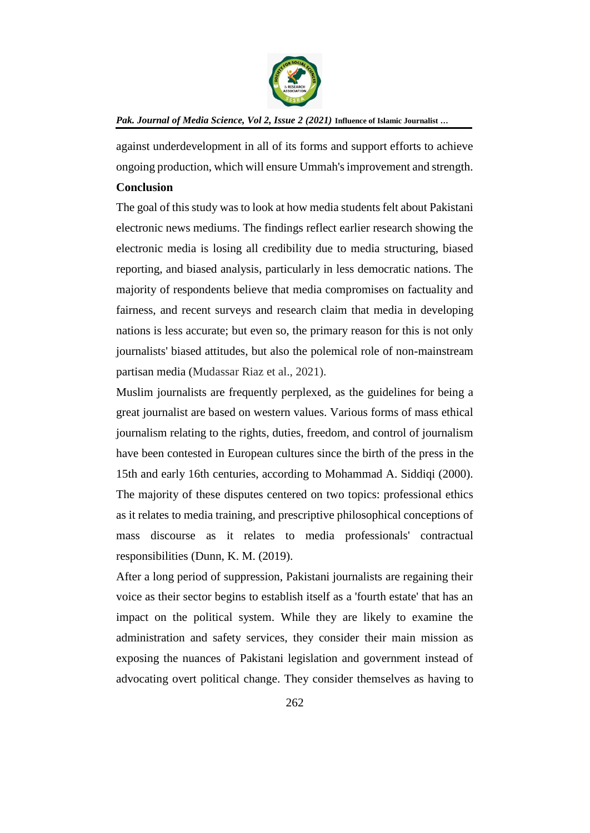

against underdevelopment in all of its forms and support efforts to achieve ongoing production, which will ensure Ummah's improvement and strength.

## **Conclusion**

The goal of this study was to look at how media students felt about Pakistani electronic news mediums. The findings reflect earlier research showing the electronic media is losing all credibility due to media structuring, biased reporting, and biased analysis, particularly in less democratic nations. The majority of respondents believe that media compromises on factuality and fairness, and recent surveys and research claim that media in developing nations is less accurate; but even so, the primary reason for this is not only journalists' biased attitudes, but also the polemical role of non-mainstream partisan media (Mudassar Riaz et al., 2021).

Muslim journalists are frequently perplexed, as the guidelines for being a great journalist are based on western values. Various forms of mass ethical journalism relating to the rights, duties, freedom, and control of journalism have been contested in European cultures since the birth of the press in the 15th and early 16th centuries, according to Mohammad A. Siddiqi (2000). The majority of these disputes centered on two topics: professional ethics as it relates to media training, and prescriptive philosophical conceptions of mass discourse as it relates to media professionals' contractual responsibilities (Dunn, K. M. (2019).

After a long period of suppression, Pakistani journalists are regaining their voice as their sector begins to establish itself as a 'fourth estate' that has an impact on the political system. While they are likely to examine the administration and safety services, they consider their main mission as exposing the nuances of Pakistani legislation and government instead of advocating overt political change. They consider themselves as having to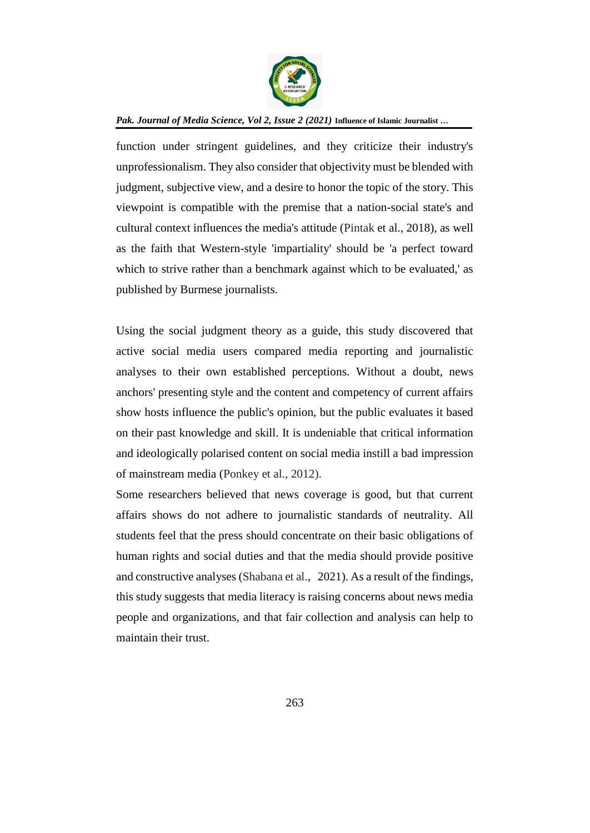

function under stringent guidelines, and they criticize their industry's unprofessionalism. They also consider that objectivity must be blended with judgment, subjective view, and a desire to honor the topic of the story. This viewpoint is compatible with the premise that a nation-social state's and cultural context influences the media's attitude (Pintak et al., 2018), as well as the faith that Western-style 'impartiality' should be 'a perfect toward which to strive rather than a benchmark against which to be evaluated,' as published by Burmese journalists.

Using the social judgment theory as a guide, this study discovered that active social media users compared media reporting and journalistic analyses to their own established perceptions. Without a doubt, news anchors' presenting style and the content and competency of current affairs show hosts influence the public's opinion, but the public evaluates it based on their past knowledge and skill. It is undeniable that critical information and ideologically polarised content on social media instill a bad impression of mainstream media (Ponkey et al., 2012).

Some researchers believed that news coverage is good, but that current affairs shows do not adhere to journalistic standards of neutrality. All students feel that the press should concentrate on their basic obligations of human rights and social duties and that the media should provide positive and constructive analyses (Shabana et al., 2021). As a result of the findings, this study suggests that media literacy is raising concerns about news media people and organizations, and that fair collection and analysis can help to maintain their trust.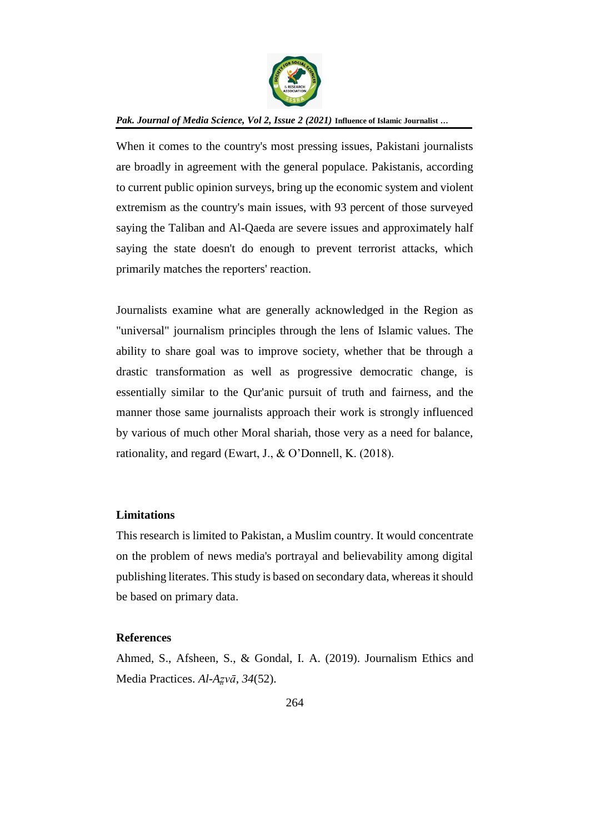

When it comes to the country's most pressing issues, Pakistani journalists are broadly in agreement with the general populace. Pakistanis, according to current public opinion surveys, bring up the economic system and violent extremism as the country's main issues, with 93 percent of those surveyed saying the Taliban and Al-Qaeda are severe issues and approximately half saying the state doesn't do enough to prevent terrorist attacks, which primarily matches the reporters' reaction.

Journalists examine what are generally acknowledged in the Region as "universal" journalism principles through the lens of Islamic values. The ability to share goal was to improve society, whether that be through a drastic transformation as well as progressive democratic change, is essentially similar to the Qur'anic pursuit of truth and fairness, and the manner those same journalists approach their work is strongly influenced by various of much other Moral shariah, those very as a need for balance, rationality, and regard (Ewart, J., & O'Donnell, K. (2018).

## **Limitations**

This research is limited to Pakistan, a Muslim country. It would concentrate on the problem of news media's portrayal and believability among digital publishing literates. This study is based on secondary data, whereas it should be based on primary data.

## **References**

Ahmed, S., Afsheen, S., & Gondal, I. A. (2019). Journalism Ethics and Media Practices. *Al-Az̤vā*, *34*(52).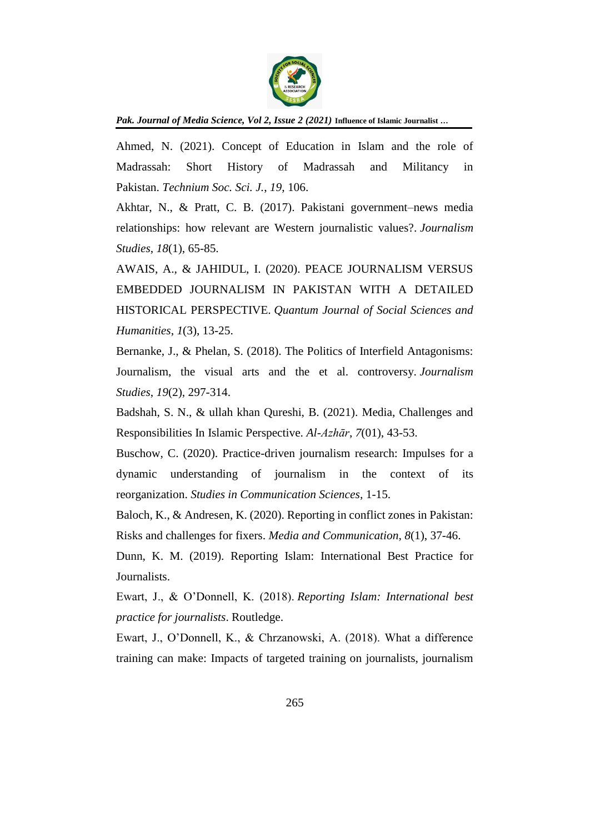

Ahmed, N. (2021). Concept of Education in Islam and the role of Madrassah: Short History of Madrassah and Militancy in Pakistan. *Technium Soc. Sci. J.*, *19*, 106.

Akhtar, N., & Pratt, C. B. (2017). Pakistani government–news media relationships: how relevant are Western journalistic values?. *Journalism Studies*, *18*(1), 65-85.

AWAIS, A., & JAHIDUL, I. (2020). PEACE JOURNALISM VERSUS EMBEDDED JOURNALISM IN PAKISTAN WITH A DETAILED HISTORICAL PERSPECTIVE. *Quantum Journal of Social Sciences and Humanities*, *1*(3), 13-25.

Bernanke, J., & Phelan, S. (2018). The Politics of Interfield Antagonisms: Journalism, the visual arts and the et al. controversy. *Journalism Studies*, *19*(2), 297-314.

Badshah, S. N., & ullah khan Qureshi, B. (2021). Media, Challenges and Responsibilities In Islamic Perspective. *Al-Azhār*, *7*(01), 43-53.

Buschow, C. (2020). Practice-driven journalism research: Impulses for a dynamic understanding of journalism in the context of its reorganization. *Studies in Communication Sciences*, 1-15.

Baloch, K., & Andresen, K. (2020). Reporting in conflict zones in Pakistan: Risks and challenges for fixers. *Media and Communication*, *8*(1), 37-46.

Dunn, K. M. (2019). Reporting Islam: International Best Practice for Journalists.

Ewart, J., & O'Donnell, K. (2018). *Reporting Islam: International best practice for journalists*. Routledge.

Ewart, J., O'Donnell, K., & Chrzanowski, A. (2018). What a difference training can make: Impacts of targeted training on journalists, journalism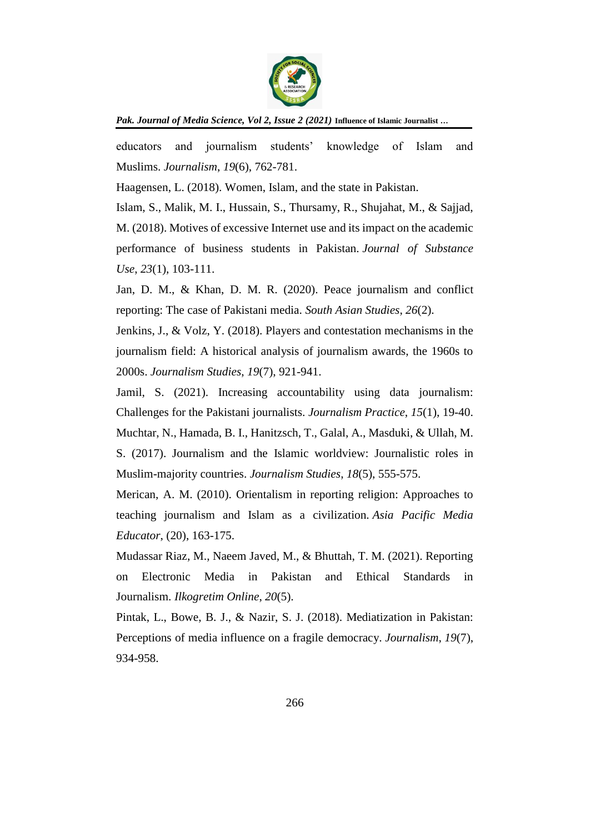

educators and journalism students' knowledge of Islam and Muslims. *Journalism*, *19*(6), 762-781.

Haagensen, L. (2018). Women, Islam, and the state in Pakistan.

Islam, S., Malik, M. I., Hussain, S., Thursamy, R., Shujahat, M., & Sajjad, M. (2018). Motives of excessive Internet use and its impact on the academic performance of business students in Pakistan. *Journal of Substance Use*, *23*(1), 103-111.

Jan, D. M., & Khan, D. M. R. (2020). Peace journalism and conflict reporting: The case of Pakistani media. *South Asian Studies*, *26*(2).

Jenkins, J., & Volz, Y. (2018). Players and contestation mechanisms in the journalism field: A historical analysis of journalism awards, the 1960s to 2000s. *Journalism Studies*, *19*(7), 921-941.

Jamil, S. (2021). Increasing accountability using data journalism: Challenges for the Pakistani journalists. *Journalism Practice*, *15*(1), 19-40. Muchtar, N., Hamada, B. I., Hanitzsch, T., Galal, A., Masduki, & Ullah, M. S. (2017). Journalism and the Islamic worldview: Journalistic roles in Muslim-majority countries. *Journalism Studies*, *18*(5), 555-575.

Merican, A. M. (2010). Orientalism in reporting religion: Approaches to teaching journalism and Islam as a civilization. *Asia Pacific Media Educator*, (20), 163-175.

Mudassar Riaz, M., Naeem Javed, M., & Bhuttah, T. M. (2021). Reporting on Electronic Media in Pakistan and Ethical Standards in Journalism. *Ilkogretim Online*, *20*(5).

Pintak, L., Bowe, B. J., & Nazir, S. J. (2018). Mediatization in Pakistan: Perceptions of media influence on a fragile democracy. *Journalism*, *19*(7), 934-958.